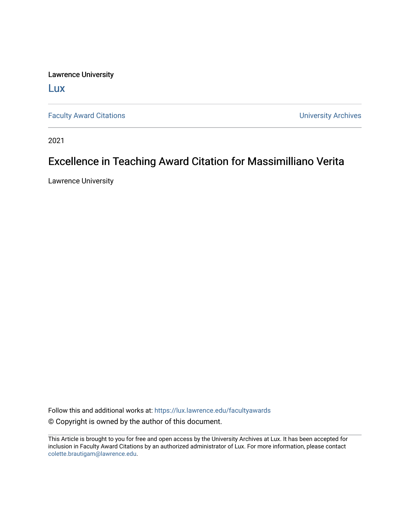Lawrence University

[Lux](https://lux.lawrence.edu/)

[Faculty Award Citations](https://lux.lawrence.edu/facultyawards) **Example 2018** 2019 12:30 Number 2019 12:30 Number 2019 12:30 Number 2019 12:30 Number 2019 12:30 Number 2019 12:30 Number 2019 12:30 Number 2019 12:30 Number 2019 12:30 Number 2019 12:30 Number 201

2021

## Excellence in Teaching Award Citation for Massimilliano Verita

Lawrence University

Follow this and additional works at: [https://lux.lawrence.edu/facultyawards](https://lux.lawrence.edu/facultyawards?utm_source=lux.lawrence.edu%2Ffacultyawards%2F213&utm_medium=PDF&utm_campaign=PDFCoverPages)  © Copyright is owned by the author of this document.

This Article is brought to you for free and open access by the University Archives at Lux. It has been accepted for inclusion in Faculty Award Citations by an authorized administrator of Lux. For more information, please contact [colette.brautigam@lawrence.edu.](mailto:colette.brautigam@lawrence.edu)